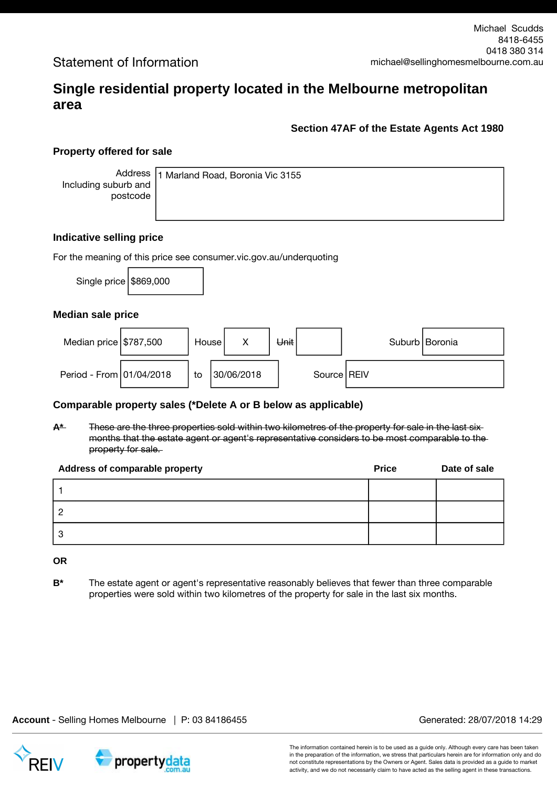# **Single residential property located in the Melbourne metropolitan area**

### **Section 47AF of the Estate Agents Act 1980**

## **Property offered for sale**

Address Including suburb and postcode

1 Marland Road, Boronia Vic 3155

#### **Indicative selling price**

For the meaning of this price see consumer.vic.gov.au/underquoting

Single price  $$869,000$ 

#### **Median sale price**

| Median price $$787,500$  | House I |            | Unit |               | Suburb   Boronia |
|--------------------------|---------|------------|------|---------------|------------------|
| Period - From 01/04/2018 | to      | 30/06/2018 |      | Source   REIV |                  |

#### **Comparable property sales (\*Delete A or B below as applicable)**

**A\*** These are the three properties sold within two kilometres of the property for sale in the last six months that the estate agent or agent's representative considers to be most comparable to the property for sale.

| <b>Address of comparable property</b> | <b>Price</b> | Date of sale |
|---------------------------------------|--------------|--------------|
|                                       |              |              |
|                                       |              |              |
|                                       |              |              |

**OR**

**B\*** The estate agent or agent's representative reasonably believes that fewer than three comparable properties were sold within two kilometres of the property for sale in the last six months.

**Account** - Selling Homes Melbourne | P: 03 84186455 Generated: 28/07/2018 14:29

propertydata

The information contained herein is to be used as a guide only. Although every care has been taken in the preparation of the information, we stress that particulars herein are for information only and do not constitute representations by the Owners or Agent. Sales data is provided as a guide to market activity, and we do not necessarily claim to have acted as the selling agent in these transactions.